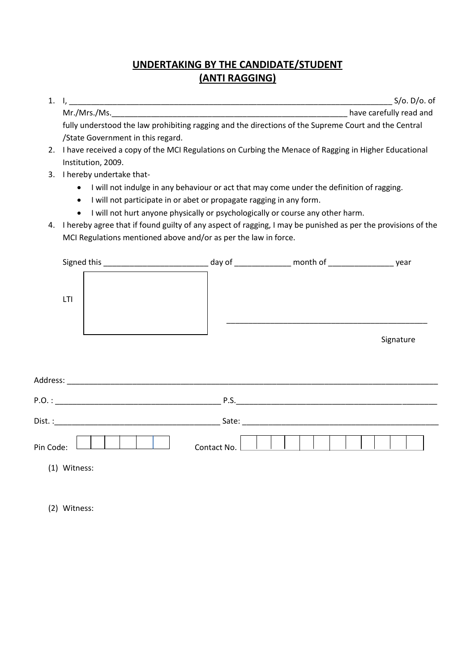## **UNDERTAKING BY THE CANDIDATE/STUDENT (ANTI RAGGING)**

| 1. |                                                                                                      | $S$ /o. D/o. of         |
|----|------------------------------------------------------------------------------------------------------|-------------------------|
|    | Mr./Mrs./Ms.                                                                                         | have carefully read and |
|    | fully understood the law prohibiting ragging and the directions of the Supreme Court and the Central |                         |

ully understood the law prohibiting ragging and the directions of the Supreme Court and the Centr /State Government in this regard.

- 2. I have received a copy of the MCI Regulations on Curbing the Menace of Ragging in Higher Educational Institution, 2009.
- 3. I hereby undertake that-
	- I will not indulge in any behaviour or act that may come under the definition of ragging.
	- I will not participate in or abet or propagate ragging in any form.
	- I will not hurt anyone physically or psychologically or course any other harm.
- 4. I hereby agree that if found guilty of any aspect of ragging, I may be punished as per the provisions of the MCI Regulations mentioned above and/or as per the law in force.

| LTI                                                                                                                                                                                                                            |             |           |
|--------------------------------------------------------------------------------------------------------------------------------------------------------------------------------------------------------------------------------|-------------|-----------|
|                                                                                                                                                                                                                                |             | Signature |
|                                                                                                                                                                                                                                |             |           |
|                                                                                                                                                                                                                                |             |           |
| Dist. : Sate: Sate: Sate: Sate: Sate: Sate: Sate: Sate: Sate: Sate: Sate: Sate: Sate: Sate: Sate: Sate: Sate: Sate: Sate: Sate: Sate: Sate: Sate: Sate: Sate: Sate: Sate: Sate: Sate: Sate: Sate: Sate: Sate: Sate: Sate: Sate |             |           |
| Pin Code:                                                                                                                                                                                                                      | Contact No. |           |
| Witness:<br>(1)                                                                                                                                                                                                                |             |           |

(2) Witness: